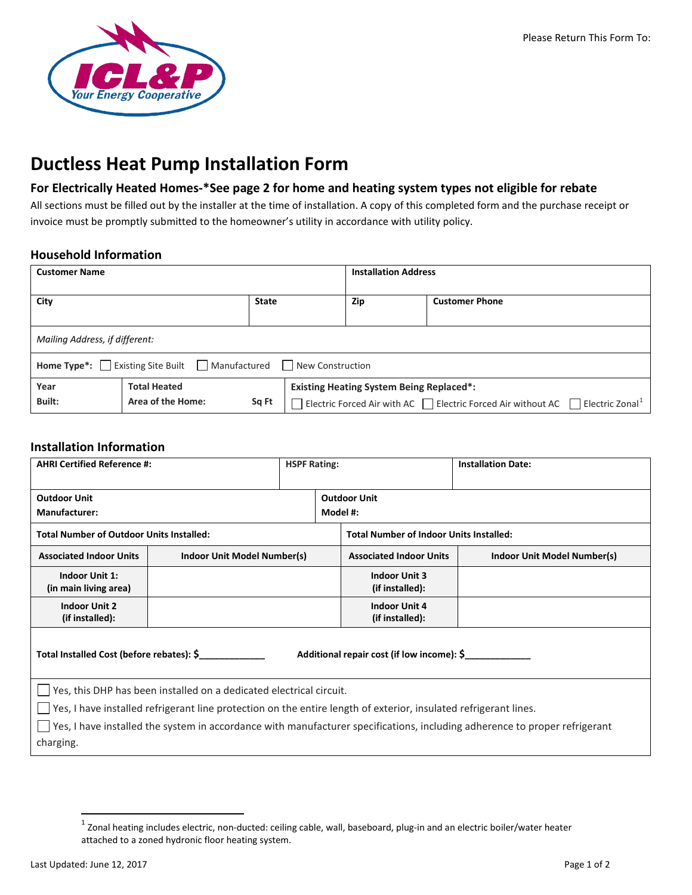

# **Ductless Heat Pump Installation Form**

## **For Electrically Heated Homes-\*See page 2 for home and heating system types not eligible for rebate**

All sections must be filled out by the installer at the time of installation. A copy of this completed form and the purchase receipt or invoice must be promptly submitted to the homeowner's utility in accordance with utility policy.

### **Household Information**

| <b>Customer Name</b>                                                                      |                     |       |                                                 | <b>Installation Address</b> |  |  |  |
|-------------------------------------------------------------------------------------------|---------------------|-------|-------------------------------------------------|-----------------------------|--|--|--|
| City<br><b>State</b>                                                                      |                     |       | Zip                                             | <b>Customer Phone</b>       |  |  |  |
| Mailing Address, if different:                                                            |                     |       |                                                 |                             |  |  |  |
| <b>Home Type*:</b> $\Box$ Existing Site Built $\Box$ Manufactured $\Box$ New Construction |                     |       |                                                 |                             |  |  |  |
| Year                                                                                      | <b>Total Heated</b> |       | <b>Existing Heating System Being Replaced*:</b> |                             |  |  |  |
| Built:                                                                                    | Area of the Home:   | Sq Ft |                                                 |                             |  |  |  |

#### **Installation Information**

| <b>AHRI Certified Reference #:</b>                                                                                         |                             |  | <b>HSPF Rating:</b>                            |  | <b>Installation Date:</b>   |  |  |  |  |
|----------------------------------------------------------------------------------------------------------------------------|-----------------------------|--|------------------------------------------------|--|-----------------------------|--|--|--|--|
| <b>Outdoor Unit</b>                                                                                                        |                             |  | <b>Outdoor Unit</b>                            |  |                             |  |  |  |  |
| Manufacturer:                                                                                                              |                             |  | Model #:                                       |  |                             |  |  |  |  |
| <b>Total Number of Outdoor Units Installed:</b>                                                                            |                             |  | <b>Total Number of Indoor Units Installed:</b> |  |                             |  |  |  |  |
| <b>Associated Indoor Units</b>                                                                                             | Indoor Unit Model Number(s) |  | <b>Associated Indoor Units</b>                 |  | Indoor Unit Model Number(s) |  |  |  |  |
| <b>Indoor Unit 1:</b>                                                                                                      |                             |  | <b>Indoor Unit 3</b>                           |  |                             |  |  |  |  |
| (in main living area)                                                                                                      |                             |  | (if installed):                                |  |                             |  |  |  |  |
| <b>Indoor Unit 2</b>                                                                                                       |                             |  | <b>Indoor Unit 4</b>                           |  |                             |  |  |  |  |
| (if installed):                                                                                                            |                             |  | (if installed):                                |  |                             |  |  |  |  |
| Total Installed Cost (before rebates): \$<br>Additional repair cost (if low income): \$                                    |                             |  |                                                |  |                             |  |  |  |  |
| Yes, this DHP has been installed on a dedicated electrical circuit.                                                        |                             |  |                                                |  |                             |  |  |  |  |
| Yes, I have installed refrigerant line protection on the entire length of exterior, insulated refrigerant lines.           |                             |  |                                                |  |                             |  |  |  |  |
| Yes, I have installed the system in accordance with manufacturer specifications, including adherence to proper refrigerant |                             |  |                                                |  |                             |  |  |  |  |
| charging.                                                                                                                  |                             |  |                                                |  |                             |  |  |  |  |
|                                                                                                                            |                             |  |                                                |  |                             |  |  |  |  |

<span id="page-0-0"></span> $1$  Zonal heating includes electric, non-ducted: ceiling cable, wall, baseboard, plug-in and an electric boiler/water heater attached to a zoned hydronic floor heating system.